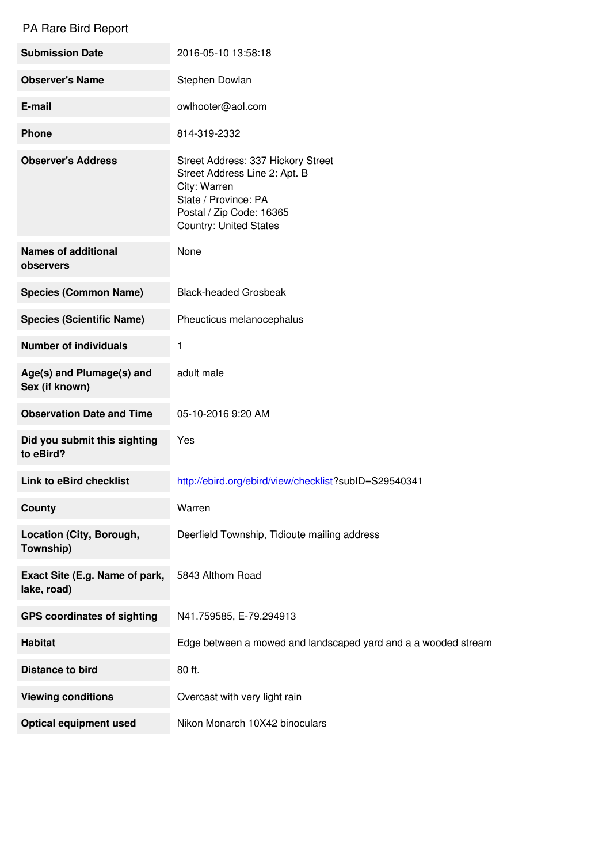## PA Rare Bird Report

| <b>Submission Date</b>                        | 2016-05-10 13:58:18                                                                                                                                                      |
|-----------------------------------------------|--------------------------------------------------------------------------------------------------------------------------------------------------------------------------|
| <b>Observer's Name</b>                        | Stephen Dowlan                                                                                                                                                           |
| E-mail                                        | owlhooter@aol.com                                                                                                                                                        |
| <b>Phone</b>                                  | 814-319-2332                                                                                                                                                             |
| <b>Observer's Address</b>                     | Street Address: 337 Hickory Street<br>Street Address Line 2: Apt. B<br>City: Warren<br>State / Province: PA<br>Postal / Zip Code: 16365<br><b>Country: United States</b> |
| <b>Names of additional</b><br>observers       | None                                                                                                                                                                     |
| <b>Species (Common Name)</b>                  | <b>Black-headed Grosbeak</b>                                                                                                                                             |
| <b>Species (Scientific Name)</b>              | Pheucticus melanocephalus                                                                                                                                                |
| <b>Number of individuals</b>                  | 1                                                                                                                                                                        |
| Age(s) and Plumage(s) and<br>Sex (if known)   | adult male                                                                                                                                                               |
| <b>Observation Date and Time</b>              | 05-10-2016 9:20 AM                                                                                                                                                       |
| Did you submit this sighting<br>to eBird?     | Yes                                                                                                                                                                      |
| <b>Link to eBird checklist</b>                | http://ebird.org/ebird/view/checklist?subID=S29540341                                                                                                                    |
| <b>County</b>                                 | Warren                                                                                                                                                                   |
| Location (City, Borough,<br>Township)         | Deerfield Township, Tidioute mailing address                                                                                                                             |
| Exact Site (E.g. Name of park,<br>lake, road) | 5843 Althom Road                                                                                                                                                         |
| <b>GPS coordinates of sighting</b>            | N41.759585, E-79.294913                                                                                                                                                  |
| <b>Habitat</b>                                | Edge between a mowed and landscaped yard and a a wooded stream                                                                                                           |
| <b>Distance to bird</b>                       | 80 ft.                                                                                                                                                                   |
| <b>Viewing conditions</b>                     | Overcast with very light rain                                                                                                                                            |
| <b>Optical equipment used</b>                 | Nikon Monarch 10X42 binoculars                                                                                                                                           |